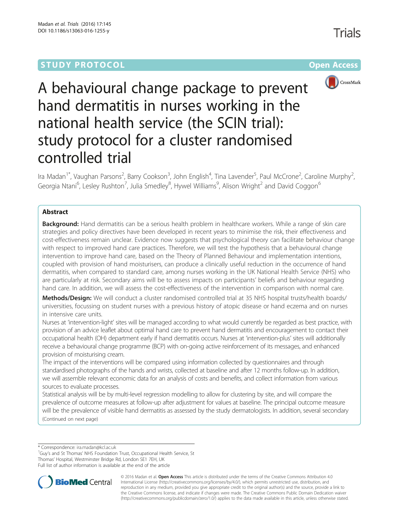## **STUDY PROTOCOL CONSUMING THE CONSUMING OPEN ACCESS**



# A behavioural change package to prevent hand dermatitis in nurses working in the national health service (the SCIN trial): study protocol for a cluster randomised controlled trial

Ira Madan<sup>1\*</sup>, Vaughan Parsons<sup>2</sup>, Barry Cookson<sup>3</sup>, John English<sup>4</sup>, Tina Lavender<sup>5</sup>, Paul McCrone<sup>2</sup>, Caroline Murphy<sup>2</sup> , Georgia Ntani<sup>6</sup>, Lesley Rushton<sup>7</sup>, Julia Smedley<sup>8</sup>, Hywel Williams<sup>9</sup>, Alison Wright<sup>2</sup> and David Coggon<sup>6</sup>

#### Abstract

Background: Hand dermatitis can be a serious health problem in healthcare workers. While a range of skin care strategies and policy directives have been developed in recent years to minimise the risk, their effectiveness and cost-effectiveness remain unclear. Evidence now suggests that psychological theory can facilitate behaviour change with respect to improved hand care practices. Therefore, we will test the hypothesis that a behavioural change intervention to improve hand care, based on the Theory of Planned Behaviour and implementation intentions, coupled with provision of hand moisturisers, can produce a clinically useful reduction in the occurrence of hand dermatitis, when compared to standard care, among nurses working in the UK National Health Service (NHS) who are particularly at risk. Secondary aims will be to assess impacts on participants' beliefs and behaviour regarding hand care. In addition, we will assess the cost-effectiveness of the intervention in comparison with normal care.

Methods/Design: We will conduct a cluster randomised controlled trial at 35 NHS hospital trusts/health boards/ universities, focussing on student nurses with a previous history of atopic disease or hand eczema and on nurses in intensive care units.

Nurses at 'intervention-light' sites will be managed according to what would currently be regarded as best practice, with provision of an advice leaflet about optimal hand care to prevent hand dermatitis and encouragement to contact their occupational health (OH) department early if hand dermatitis occurs. Nurses at 'intervention-plus' sites will additionally receive a behavioural change programme (BCP) with on-going active reinforcement of its messages, and enhanced provision of moisturising cream.

The impact of the interventions will be compared using information collected by questionnaires and through standardised photographs of the hands and wrists, collected at baseline and after 12 months follow-up. In addition, we will assemble relevant economic data for an analysis of costs and benefits, and collect information from various sources to evaluate processes.

Statistical analysis will be by multi-level regression modelling to allow for clustering by site, and will compare the prevalence of outcome measures at follow-up after adjustment for values at baseline. The principal outcome measure will be the prevalence of visible hand dermatitis as assessed by the study dermatologists. In addition, several secondary (Continued on next page)

\* Correspondence: [ira.madan@kcl.ac.uk](mailto:ira.madan@kcl.ac.uk) <sup>1</sup>

<sup>1</sup>Guy's and St Thomas' NHS Foundation Trust, Occupational Health Service, St Thomas' Hospital, Westminster Bridge Rd, London SE1 7EH, UK

Full list of author information is available at the end of the article



© 2016 Madan et al. Open Access This article is distributed under the terms of the Creative Commons Attribution 4.0 International License [\(http://creativecommons.org/licenses/by/4.0/](http://creativecommons.org/licenses/by/4.0/)), which permits unrestricted use, distribution, and reproduction in any medium, provided you give appropriate credit to the original author(s) and the source, provide a link to the Creative Commons license, and indicate if changes were made. The Creative Commons Public Domain Dedication waiver [\(http://creativecommons.org/publicdomain/zero/1.0/](http://creativecommons.org/publicdomain/zero/1.0/)) applies to the data made available in this article, unless otherwise stated.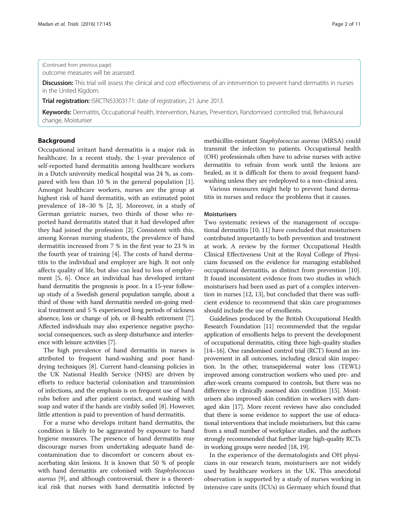#### (Continued from previous page)

outcome measures will be assessed.

Discussion: This trial will assess the clinical and cost effectiveness of an intervention to prevent hand dermatitis in nurses in the United Kigdom.

Trial registration: [ISRCTN53303171](https://ukctg.nihr.ac.uk/trials/trial-details/trial-details?trialNumber=ISRCTN53303171): date of registration, 21 June 2013.

Keywords: Dermatitis, Occupational health, Intervention, Nurses, Prevention, Randomised controlled trial, Behavioural change, Moisturiser

#### Background

Occupational irritant hand dermatitis is a major risk in healthcare. In a recent study, the 1-year prevalence of self-reported hand dermatitis among healthcare workers in a Dutch university medical hospital was 24 %, as compared with less than 10 % in the general population [\[1](#page-9-0)]. Amongst healthcare workers, nurses are the group at highest risk of hand dermatitis, with an estimated point prevalence of 18–30 % [\[2, 3\]](#page-9-0). Moreover, in a study of German geriatric nurses, two thirds of those who reported hand dermatitis stated that it had developed after they had joined the profession [[2\]](#page-9-0). Consistent with this, among Korean nursing students, the prevalence of hand dermatitis increased from 7 % in the first year to 23 % in the fourth year of training [\[4](#page-9-0)]. The costs of hand dermatitis to the individual and employer are high. It not only affects quality of life, but also can lead to loss of employment [[5, 6](#page-9-0)]. Once an individual has developed irritant hand dermatitis the prognosis is poor. In a 15-year followup study of a Swedish general population sample, about a third of those with hand dermatitis needed on-going medical treatment and 5 % experienced long periods of sickness absence, loss or change of job, or ill-health retirement [[7](#page-9-0)]. Affected individuals may also experience negative psychosocial consequences, such as sleep disturbance and interference with leisure activities [\[7\]](#page-9-0).

The high prevalence of hand dermatitis in nurses is attributed to frequent hand-washing and poor handdrying techniques [[8\]](#page-9-0). Current hand-cleansing policies in the UK National Health Service (NHS) are driven by efforts to reduce bacterial colonisation and transmission of infections, and the emphasis is on frequent use of hand rubs before and after patient contact, and washing with soap and water if the hands are visibly soiled [\[8](#page-9-0)]. However, little attention is paid to prevention of hand dermatitis.

For a nurse who develops irritant hand dermatitis, the condition is likely to be aggravated by exposure to hand hygiene measures. The presence of hand dermatitis may discourage nurses from undertaking adequate hand decontamination due to discomfort or concern about exacerbating skin lesions. It is known that 50 % of people with hand dermatitis are colonised with Staphylococcus aureus [\[9\]](#page-9-0), and although controversial, there is a theoretical risk that nurses with hand dermatitis infected by

methicillin-resistant Staphylococcus aureus (MRSA) could transmit the infection to patients. Occupational health (OH) professionals often have to advise nurses with active dermatitis to refrain from work until the lesions are healed, as it is difficult for them to avoid frequent handwashing unless they are redeployed to a non-clinical area.

Various measures might help to prevent hand dermatitis in nurses and reduce the problems that it causes.

#### **Moisturisers**

Two systematic reviews of the management of occupational dermatitis [\[10, 11](#page-9-0)] have concluded that moisturisers contributed importantly to both prevention and treatment at work. A review by the former Occupational Health Clinical Effectiveness Unit at the Royal College of Physicians focussed on the evidence for managing established occupational dermatitis, as distinct from prevention [[10](#page-9-0)]. It found inconsistent evidence from two studies in which moisturisers had been used as part of a complex intervention in nurses [[12, 13](#page-9-0)], but concluded that there was sufficient evidence to recommend that skin care programmes should include the use of emollients.

Guidelines produced by the British Occupational Health Research Foundation [\[11\]](#page-9-0) recommended that the regular application of emollients helps to prevent the development of occupational dermatitis, citing three high-quality studies [[14](#page-9-0)–[16](#page-9-0)]. One randomised control trial (RCT) found an improvement in all outcomes, including clinical skin inspection. In the other, transepidermal water loss (TEWL) improved among construction workers who used pre- and after-work creams compared to controls, but there was no difference in clinically assessed skin condition [\[15\]](#page-9-0). Moisturisers also improved skin condition in workers with damaged skin [\[17\]](#page-9-0). More recent reviews have also concluded that there is some evidence to support the use of educational interventions that include moisturisers, but this came from a small number of workplace studies, and the authors strongly recommended that further large high-quality RCTs in working groups were needed [[18, 19](#page-9-0)].

In the experience of the dermatologists and OH physicians in our research team, moisturisers are not widely used by healthcare workers in the UK. This anecdotal observation is supported by a study of nurses working in intensive care units (ICUs) in Germany which found that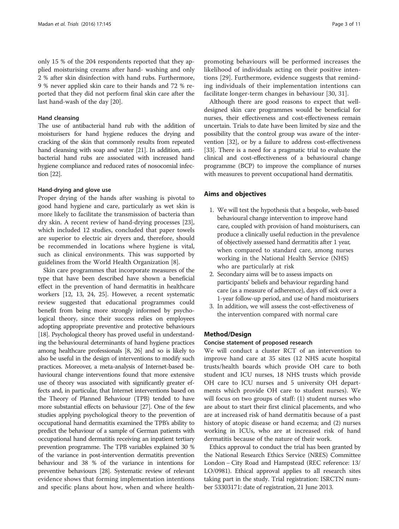only 15 % of the 204 respondents reported that they applied moisturising creams after hand- washing and only 2 % after skin disinfection with hand rubs. Furthermore, 9 % never applied skin care to their hands and 72 % reported that they did not perform final skin care after the last hand-wash of the day [[20\]](#page-9-0).

#### Hand cleansing

The use of antibacterial hand rub with the addition of moisturisers for hand hygiene reduces the drying and cracking of the skin that commonly results from repeated hand cleansing with soap and water [[21](#page-9-0)]. In addition, antibacterial hand rubs are associated with increased hand hygiene compliance and reduced rates of nosocomial infection [[22](#page-9-0)].

#### Hand-drying and glove use

Proper drying of the hands after washing is pivotal to good hand hygiene and care, particularly as wet skin is more likely to facilitate the transmission of bacteria than dry skin. A recent review of hand-drying processes [\[23](#page-9-0)], which included 12 studies, concluded that paper towels are superior to electric air dryers and, therefore, should be recommended in locations where hygiene is vital, such as clinical environments. This was supported by guidelines from the World Health Organization [[8](#page-9-0)].

Skin care programmes that incorporate measures of the type that have been described have shown a beneficial effect in the prevention of hand dermatitis in healthcare workers [[12](#page-9-0), [13](#page-9-0), [24, 25\]](#page-9-0). However, a recent systematic review suggested that educational programmes could benefit from being more strongly informed by psychological theory, since their success relies on employees adopting appropriate preventive and protective behaviours [[18](#page-9-0)]. Psychological theory has proved useful in understanding the behavioural determinants of hand hygiene practices among healthcare professionals [\[8, 26\]](#page-9-0) and so is likely to also be useful in the design of interventions to modify such practices. Moreover, a meta-analysis of Internet-based behavioural change interventions found that more extensive use of theory was associated with significantly greater effects and, in particular, that Internet interventions based on the Theory of Planned Behaviour (TPB) tended to have more substantial effects on behaviour [\[27\]](#page-9-0). One of the few studies applying psychological theory to the prevention of occupational hand dermatitis examined the TPB's ability to predict the behaviour of a sample of German patients with occupational hand dermatitis receiving an inpatient tertiary prevention programme. The TPB variables explained 30 % of the variance in post-intervention dermatitis prevention behaviour and 38 % of the variance in intentions for preventive behaviours [[28](#page-9-0)]. Systematic review of relevant evidence shows that forming implementation intentions and specific plans about how, when and where health-

promoting behaviours will be performed increases the likelihood of individuals acting on their positive intentions [[29\]](#page-9-0). Furthermore, evidence suggests that reminding individuals of their implementation intentions can facilitate longer-term changes in behaviour [[30](#page-9-0), [31](#page-9-0)].

Although there are good reasons to expect that welldesigned skin care programmes would be beneficial for nurses, their effectiveness and cost-effectiveness remain uncertain. Trials to date have been limited by size and the possibility that the control group was aware of the intervention [[32](#page-9-0)], or by a failure to address cost-effectiveness [[33](#page-10-0)]. There is a need for a pragmatic trial to evaluate the clinical and cost-effectiveness of a behavioural change programme (BCP) to improve the compliance of nurses with measures to prevent occupational hand dermatitis.

#### Aims and objectives

- 1. We will test the hypothesis that a bespoke, web-based behavioural change intervention to improve hand care, coupled with provision of hand moisturisers, can produce a clinically useful reduction in the prevalence of objectively assessed hand dermatitis after 1 year, when compared to standard care, among nurses working in the National Health Service (NHS) who are particularly at risk
- 2. Secondary aims will be to assess impacts on participants' beliefs and behaviour regarding hand care (as a measure of adherence), days off sick over a 1-year follow-up period, and use of hand moisturisers
- 3. In addition, we will assess the cost-effectiveness of the intervention compared with normal care

#### Method/Design

#### Concise statement of proposed research

We will conduct a cluster RCT of an intervention to improve hand care at 35 sites (12 NHS acute hospital trusts/health boards which provide OH care to both student and ICU nurses, 18 NHS trusts which provide OH care to ICU nurses and 5 university OH departments which provide OH care to student nurses). We will focus on two groups of staff: (1) student nurses who are about to start their first clinical placements, and who are at increased risk of hand dermatitis because of a past history of atopic disease or hand eczema; and (2) nurses working in ICUs, who are at increased risk of hand dermatitis because of the nature of their work.

Ethics approval to conduct the trial has been granted by the National Research Ethics Service (NRES) Committee London − City Road and Hampstead (REC reference: 13/ LO/0981). Ethical approval applies to all research sites taking part in the study. Trial registration: ISRCTN number 53303171: date of registration, 21 June 2013.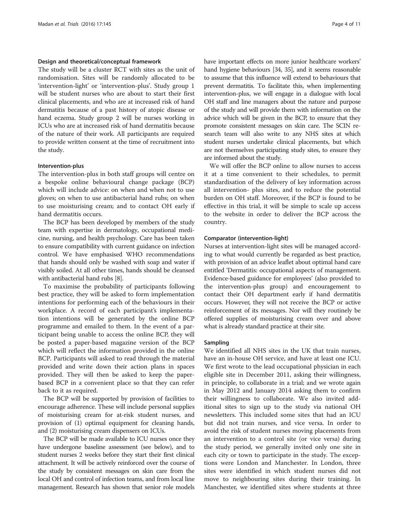#### Design and theoretical/conceptual framework

The study will be a cluster RCT with sites as the unit of randomisation. Sites will be randomly allocated to be 'intervention-light' or 'intervention-plus'. Study group 1 will be student nurses who are about to start their first clinical placements, and who are at increased risk of hand dermatitis because of a past history of atopic disease or hand eczema. Study group 2 will be nurses working in ICUs who are at increased risk of hand dermatitis because of the nature of their work. All participants are required to provide written consent at the time of recruitment into the study.

#### Intervention-plus

The intervention-plus in both staff groups will centre on a bespoke online behavioural change package (BCP) which will include advice: on when and when not to use gloves; on when to use antibacterial hand rubs; on when to use moisturising cream; and to contact OH early if hand dermatitis occurs.

The BCP has been developed by members of the study team with expertise in dermatology, occupational medicine, nursing, and health psychology. Care has been taken to ensure compatibility with current guidance on infection control. We have emphasised WHO recommendations that hands should only be washed with soap and water if visibly soiled. At all other times, hands should be cleansed with antibacterial hand rubs [\[8](#page-9-0)].

To maximise the probability of participants following best practice, they will be asked to form implementation intentions for performing each of the behaviours in their workplace. A record of each participant's implementation intentions will be generated by the online BCP programme and emailed to them. In the event of a participant being unable to access the online BCP, they will be posted a paper-based magazine version of the BCP which will reflect the information provided in the online BCP. Participants will asked to read through the material provided and write down their action plans in spaces provided. They will then be asked to keep the paperbased BCP in a convenient place so that they can refer back to it as required.

The BCP will be supported by provision of facilities to encourage adherence. These will include personal supplies of moisturising cream for at-risk student nurses, and provision of (1) optimal equipment for cleaning hands, and (2) moisturising cream dispensers on ICUs.

The BCP will be made available to ICU nurses once they have undergone baseline assessment (see below), and to student nurses 2 weeks before they start their first clinical attachment. It will be actively reinforced over the course of the study by consistent messages on skin care from the local OH and control of infection teams, and from local line management. Research has shown that senior role models have important effects on more junior healthcare workers' hand hygiene behaviours [\[34](#page-10-0), [35](#page-10-0)], and it seems reasonable to assume that this influence will extend to behaviours that prevent dermatitis. To facilitate this, when implementing intervention-plus, we will engage in a dialogue with local OH staff and line managers about the nature and purpose of the study and will provide them with information on the advice which will be given in the BCP, to ensure that they promote consistent messages on skin care. The SCIN research team will also write to any NHS sites at which student nurses undertake clinical placements, but which are not themselves participating study sites, to ensure they are informed about the study.

We will offer the BCP online to allow nurses to access it at a time convenient to their schedules, to permit standardisation of the delivery of key information across all intervention- plus sites, and to reduce the potential burden on OH staff. Moreover, if the BCP is found to be effective in this trial, it will be simple to scale up access to the website in order to deliver the BCP across the country.

#### Comparator (intervention-light)

Nurses at intervention-light sites will be managed according to what would currently be regarded as best practice, with provision of an advice leaflet about optimal hand care entitled 'Dermatitis: occupational aspects of management. Evidence-based guidance for employees' (also provided to the intervention-plus group) and encouragement to contact their OH department early if hand dermatitis occurs. However, they will not receive the BCP or active reinforcement of its messages. Nor will they routinely be offered supplies of moisturising cream over and above what is already standard practice at their site.

#### Sampling

We identified all NHS sites in the UK that train nurses, have an in-house OH service, and have at least one ICU. We first wrote to the lead occupational physician in each eligible site in December 2011, asking their willingness, in principle, to collaborate in a trial; and we wrote again in May 2012 and January 2014 asking them to confirm their willingness to collaborate. We also invited additional sites to sign up to the study via national OH newsletters. This included some sites that had an ICU but did not train nurses, and vice versa. In order to avoid the risk of student nurses moving placements from an intervention to a control site (or vice versa) during the study period, we generally invited only one site in each city or town to participate in the study. The exceptions were London and Manchester. In London, three sites were identified in which student nurses did not move to neighbouring sites during their training. In Manchester, we identified sites where students at three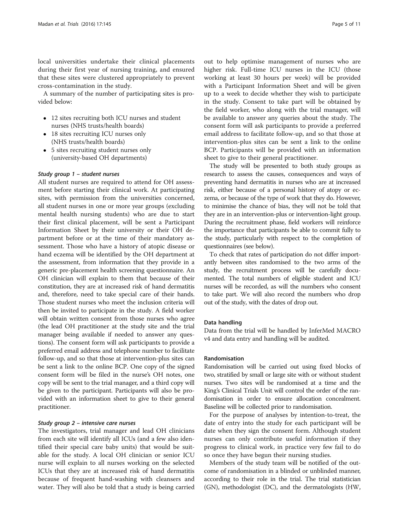local universities undertake their clinical placements during their first year of nursing training, and ensured that these sites were clustered appropriately to prevent cross-contamination in the study.

A summary of the number of participating sites is provided below:

- 12 sites recruiting both ICU nurses and student nurses (NHS trusts/health boards)
- 18 sites recruiting ICU nurses only (NHS trusts/health boards)
- 5 sites recruiting student nurses only (university-based OH departments)

#### Study group 1 – student nurses

All student nurses are required to attend for OH assessment before starting their clinical work. At participating sites, with permission from the universities concerned, all student nurses in one or more year groups (excluding mental health nursing students) who are due to start their first clinical placement, will be sent a Participant Information Sheet by their university or their OH department before or at the time of their mandatory assessment. Those who have a history of atopic disease or hand eczema will be identified by the OH department at the assessment, from information that they provide in a generic pre-placement health screening questionnaire. An OH clinician will explain to them that because of their constitution, they are at increased risk of hand dermatitis and, therefore, need to take special care of their hands. Those student nurses who meet the inclusion criteria will then be invited to participate in the study. A field worker will obtain written consent from those nurses who agree (the lead OH practitioner at the study site and the trial manager being available if needed to answer any questions). The consent form will ask participants to provide a preferred email address and telephone number to facilitate follow-up, and so that those at intervention-plus sites can be sent a link to the online BCP. One copy of the signed consent form will be filed in the nurse's OH notes, one copy will be sent to the trial manager, and a third copy will be given to the participant. Participants will also be provided with an information sheet to give to their general practitioner.

#### Study group 2 – intensive care nurses

The investigators, trial manager and lead OH clinicians from each site will identify all ICUs (and a few also identified their special care baby units) that would be suitable for the study. A local OH clinician or senior ICU nurse will explain to all nurses working on the selected ICUs that they are at increased risk of hand dermatitis because of frequent hand-washing with cleansers and water. They will also be told that a study is being carried

out to help optimise management of nurses who are higher risk. Full-time ICU nurses in the ICU (those working at least 30 hours per week) will be provided with a Participant Information Sheet and will be given up to a week to decide whether they wish to participate in the study. Consent to take part will be obtained by the field worker, who along with the trial manager, will be available to answer any queries about the study. The consent form will ask participants to provide a preferred email address to facilitate follow-up, and so that those at intervention-plus sites can be sent a link to the online BCP. Participants will be provided with an information sheet to give to their general practitioner.

The study will be presented to both study groups as research to assess the causes, consequences and ways of preventing hand dermatitis in nurses who are at increased risk, either because of a personal history of atopy or eczema, or because of the type of work that they do. However, to minimise the chance of bias, they will not be told that they are in an intervention-plus or intervention-light group. During the recruitment phase, field workers will reinforce the importance that participants be able to commit fully to the study, particularly with respect to the completion of questionnaires (see below).

To check that rates of participation do not differ importantly between sites randomised to the two arms of the study, the recruitment process will be carefully documented. The total numbers of eligible student and ICU nurses will be recorded, as will the numbers who consent to take part. We will also record the numbers who drop out of the study, with the dates of drop out.

#### Data handling

Data from the trial will be handled by InferMed MACRO v4 and data entry and handling will be audited.

#### Randomisation

Randomisation will be carried out using fixed blocks of two, stratified by small or large site with or without student nurses. Two sites will be randomised at a time and the King's Clinical Trials Unit will control the order of the randomisation in order to ensure allocation concealment. Baseline will be collected prior to randomisation.

For the purpose of analyses by intention-to-treat, the date of entry into the study for each participant will be date when they sign the consent form. Although student nurses can only contribute useful information if they progress to clinical work, in practice very few fail to do so once they have begun their nursing studies.

Members of the study team will be notified of the outcome of randomisation in a blinded or unblinded manner, according to their role in the trial. The trial statistician (GN), methodologist (DC), and the dermatologists (HW,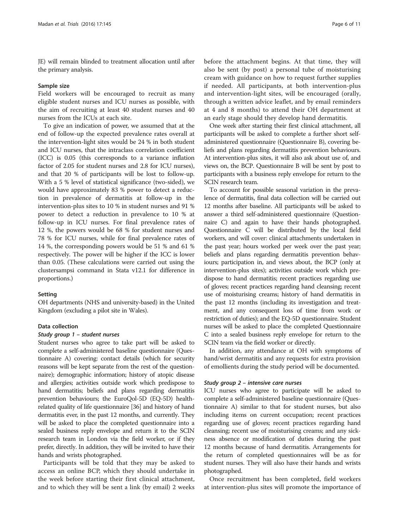JE) will remain blinded to treatment allocation until after the primary analysis.

#### Sample size

Field workers will be encouraged to recruit as many eligible student nurses and ICU nurses as possible, with the aim of recruiting at least 40 student nurses and 40 nurses from the ICUs at each site.

To give an indication of power, we assumed that at the end of follow-up the expected prevalence rates overall at the intervention-light sites would be 24 % in both student and ICU nurses, that the intraclass correlation coefficient (ICC) is 0.05 (this corresponds to a variance inflation factor of 2.05 for student nurses and 2.8 for ICU nurses), and that 20 % of participants will be lost to follow-up. With a 5 % level of statistical significance (two-sided), we would have approximately 83 % power to detect a reduction in prevalence of dermatitis at follow-up in the intervention-plus sites to 10 % in student nurses and 91 % power to detect a reduction in prevalence to 10 % at follow-up in ICU nurses. For final prevalence rates of 12 %, the powers would be 68 % for student nurses and 78 % for ICU nurses, while for final prevalence rates of 14 %, the corresponding powers would be 51 % and 61 % respectively. The power will be higher if the ICC is lower than 0.05. (These calculations were carried out using the clustersampsi command in Stata v12.1 for difference in proportions.)

#### Setting

OH departments (NHS and university-based) in the United Kingdom (excluding a pilot site in Wales).

#### Data collection

#### Study group 1 – student nurses

Student nurses who agree to take part will be asked to complete a self-administered baseline questionnaire (Questionnaire A) covering: contact details (which for security reasons will be kept separate from the rest of the questionnaire); demographic information; history of atopic disease and allergies; activities outside work which predispose to hand dermatitis; beliefs and plans regarding dermatitis prevention behaviours; the EuroQol-5D (EQ-5D) healthrelated quality of life questionnaire [\[36\]](#page-10-0) and history of hand dermatitis ever, in the past 12 months, and currently. They will be asked to place the completed questionnaire into a sealed business reply envelope and return it to the SCIN research team in London via the field worker, or if they prefer, directly. In addition, they will be invited to have their hands and wrists photographed.

Participants will be told that they may be asked to access an online BCP, which they should undertake in the week before starting their first clinical attachment, and to which they will be sent a link (by email) 2 weeks before the attachment begins. At that time, they will also be sent (by post) a personal tube of moisturising cream with guidance on how to request further supplies if needed. All participants, at both intervention-plus and intervention-light sites, will be encouraged (orally, through a written advice leaflet, and by email reminders at 4 and 8 months) to attend their OH department at an early stage should they develop hand dermatitis.

One week after starting their first clinical attachment, all participants will be asked to complete a further short selfadministered questionnaire (Questionnaire B), covering beliefs and plans regarding dermatitis prevention behaviours. At intervention-plus sites, it will also ask about use of, and views on, the BCP. Questionnaire B will be sent by post to participants with a business reply envelope for return to the SCIN research team.

To account for possible seasonal variation in the prevalence of dermatitis, final data collection will be carried out 12 months after baseline. All participants will be asked to answer a third self-administered questionnaire (Questionnaire C) and again to have their hands photographed. Questionnaire C will be distributed by the local field workers, and will cover: clinical attachments undertaken in the past year; hours worked per week over the past year; beliefs and plans regarding dermatitis prevention behaviours; participation in, and views about, the BCP (only at intervention-plus sites); activities outside work which predispose to hand dermatitis; recent practices regarding use of gloves; recent practices regarding hand cleansing; recent use of moisturising creams; history of hand dermatitis in the past 12 months (including its investigation and treatment, and any consequent loss of time from work or restriction of duties); and the EQ-5D questionnaire. Student nurses will be asked to place the completed Questionnaire C into a sealed business reply envelope for return to the SCIN team via the field worker or directly.

In addition, any attendance at OH with symptoms of hand/wrist dermatitis and any requests for extra provision of emollients during the study period will be documented.

#### Study group 2 – intensive care nurses

ICU nurses who agree to participate will be asked to complete a self-administered baseline questionnaire (Questionnaire A) similar to that for student nurses, but also including items on current occupation; recent practices regarding use of gloves; recent practices regarding hand cleansing; recent use of moisturising creams; and any sickness absence or modification of duties during the past 12 months because of hand dermatitis. Arrangements for the return of completed questionnaires will be as for student nurses. They will also have their hands and wrists photographed.

Once recruitment has been completed, field workers at intervention-plus sites will promote the importance of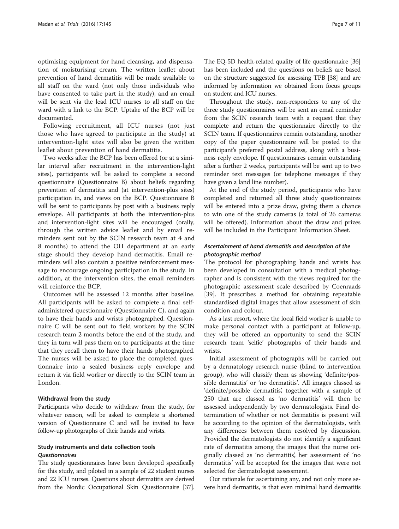optimising equipment for hand cleansing, and dispensation of moisturising cream. The written leaflet about prevention of hand dermatitis will be made available to all staff on the ward (not only those individuals who have consented to take part in the study), and an email will be sent via the lead ICU nurses to all staff on the ward with a link to the BCP. Uptake of the BCP will be documented.

Following recruitment, all ICU nurses (not just those who have agreed to participate in the study) at intervention-light sites will also be given the written leaflet about prevention of hand dermatitis.

Two weeks after the BCP has been offered (or at a similar interval after recruitment in the intervention-light sites), participants will be asked to complete a second questionnaire (Questionnaire B) about beliefs regarding prevention of dermatitis and (at intervention-plus sites) participation in, and views on the BCP. Questionnaire B will be sent to participants by post with a business reply envelope. All participants at both the intervention-plus and intervention-light sites will be encouraged (orally, through the written advice leaflet and by email reminders sent out by the SCIN research team at 4 and 8 months) to attend the OH department at an early stage should they develop hand dermatitis. Email reminders will also contain a positive reinforcement message to encourage ongoing participation in the study. In addition, at the intervention sites, the email reminders will reinforce the BCP.

Outcomes will be assessed 12 months after baseline. All participants will be asked to complete a final selfadministered questionnaire (Questionnaire C), and again to have their hands and wrists photographed. Questionnaire C will be sent out to field workers by the SCIN research team 2 months before the end of the study, and they in turn will pass them on to participants at the time that they recall them to have their hands photographed. The nurses will be asked to place the completed questionnaire into a sealed business reply envelope and return it via field worker or directly to the SCIN team in London.

#### Withdrawal from the study

Participants who decide to withdraw from the study, for whatever reason, will be asked to complete a shortened version of Questionnaire C and will be invited to have follow-up photographs of their hands and wrists.

#### Study instruments and data collection tools **Questionnaires**

The study questionnaires have been developed specifically for this study, and piloted in a sample of 22 student nurses and 22 ICU nurses. Questions about dermatitis are derived from the Nordic Occupational Skin Questionnaire [\[37](#page-10-0)].

The EQ-5D health-related quality of life questionnaire [\[36](#page-10-0)] has been included and the questions on beliefs are based on the structure suggested for assessing TPB [\[38\]](#page-10-0) and are informed by information we obtained from focus groups on student and ICU nurses.

Throughout the study, non-responders to any of the three study questionnaires will be sent an email reminder from the SCIN research team with a request that they complete and return the questionnaire directly to the SCIN team. If questionnaires remain outstanding, another copy of the paper questionnaire will be posted to the participant's preferred postal address, along with a business reply envelope. If questionnaires remain outstanding after a further 2 weeks, participants will be sent up to two reminder text messages (or telephone messages if they have given a land line number).

At the end of the study period, participants who have completed and returned all three study questionnaires will be entered into a prize draw, giving them a chance to win one of the study cameras (a total of 26 cameras will be offered). Information about the draw and prizes will be included in the Participant Information Sheet.

#### Ascertainment of hand dermatitis and description of the photographic method

The protocol for photographing hands and wrists has been developed in consultation with a medical photographer and is consistent with the views required for the photographic assessment scale described by Coenraads [[39\]](#page-10-0). It prescribes a method for obtaining repeatable standardised digital images that allow assessment of skin condition and colour.

As a last resort, where the local field worker is unable to make personal contact with a participant at follow-up, they will be offered an opportunity to send the SCIN research team 'selfie' photographs of their hands and wrists.

Initial assessment of photographs will be carried out by a dermatology research nurse (blind to intervention group), who will classify them as showing 'definite/possible dermatitis' or 'no dermatitis'. All images classed as 'definite/possible dermatitis', together with a sample of 250 that are classed as 'no dermatitis' will then be assessed independently by two dermatologists. Final determination of whether or not dermatitis is present will be according to the opinion of the dermatologists, with any differences between them resolved by discussion. Provided the dermatologists do not identify a significant rate of dermatitis among the images that the nurse originally classed as 'no dermatitis', her assessment of 'no dermatitis' will be accepted for the images that were not selected for dermatologist assessment.

Our rationale for ascertaining any, and not only more severe hand dermatitis, is that even minimal hand dermatitis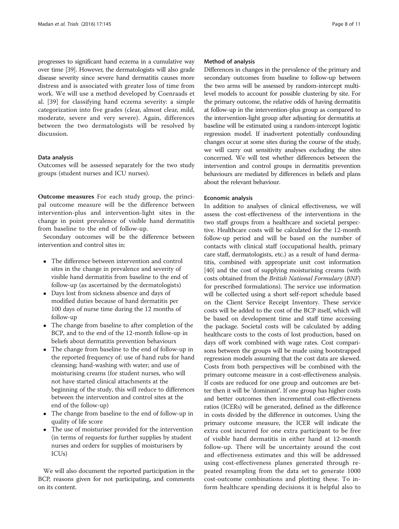progresses to significant hand eczema in a cumulative way over time [[39](#page-10-0)]. However, the dermatologists will also grade disease severity since severe hand dermatitis causes more distress and is associated with greater loss of time from work. We will use a method developed by Coenraads et al. [[39\]](#page-10-0) for classifying hand eczema severity: a simple categorization into five grades (clear, almost clear, mild, moderate, severe and very severe). Again, differences between the two dermatologists will be resolved by discussion.

#### Data analysis

Outcomes will be assessed separately for the two study groups (student nurses and ICU nurses).

Outcome measures For each study group, the principal outcome measure will be the difference between intervention-plus and intervention-light sites in the change in point prevalence of visible hand dermatitis from baseline to the end of follow-up.

Secondary outcomes will be the difference between intervention and control sites in:

- The difference between intervention and control sites in the change in prevalence and severity of visible hand dermatitis from baseline to the end of follow-up (as ascertained by the dermatologists)
- Days lost from sickness absence and days of modified duties because of hand dermatitis per 100 days of nurse time during the 12 months of follow-up
- The change from baseline to after completion of the BCP, and to the end of the 12-month follow-up in beliefs about dermatitis prevention behaviours
- The change from baseline to the end of follow-up in the reported frequency of: use of hand rubs for hand cleansing; hand-washing with water; and use of moisturising creams (for student nurses, who will not have started clinical attachments at the beginning of the study, this will reduce to differences between the intervention and control sites at the end of the follow-up)
- The change from baseline to the end of follow-up in quality of life score
- The use of moisturiser provided for the intervention (in terms of requests for further supplies by student nurses and orders for supplies of moisturisers by ICUs)

We will also document the reported participation in the BCP, reasons given for not participating, and comments on its content.

#### Method of analysis

Differences in changes in the prevalence of the primary and secondary outcomes from baseline to follow-up between the two arms will be assessed by random-intercept multilevel models to account for possible clustering by site. For the primary outcome, the relative odds of having dermatitis at follow-up in the intervention-plus group as compared to the intervention-light group after adjusting for dermatitis at baseline will be estimated using a random-intercept logistic regression model. If inadvertent potentially confounding changes occur at some sites during the course of the study, we will carry out sensitivity analyses excluding the sites concerned. We will test whether differences between the intervention and control groups in dermatitis prevention behaviours are mediated by differences in beliefs and plans about the relevant behaviour.

#### Economic analysis

In addition to analyses of clinical effectiveness, we will assess the cost-effectiveness of the interventions in the two staff groups from a healthcare and societal perspective. Healthcare costs will be calculated for the 12-month follow-up period and will be based on the number of contacts with clinical staff (occupational health, primary care staff, dermatologists, etc.) as a result of hand dermatitis, combined with appropriate unit cost information [[40](#page-10-0)] and the cost of supplying moisturising creams (with costs obtained from the British National Formulary (BNF) for prescribed formulations). The service use information will be collected using a short self-report schedule based on the Client Service Receipt Inventory. These service costs will be added to the cost of the BCP itself, which will be based on development time and staff time accessing the package. Societal costs will be calculated by adding healthcare costs to the costs of lost production, based on days off work combined with wage rates. Cost comparisons between the groups will be made using bootstrapped regression models assuming that the cost data are skewed. Costs from both perspectives will be combined with the primary outcome measure in a cost-effectiveness analysis. If costs are reduced for one group and outcomes are better then it will be 'dominant'. If one group has higher costs and better outcomes then incremental cost-effectiveness ratios (ICERs) will be generated, defined as the difference in costs divided by the difference in outcomes. Using the primary outcome measure, the ICER will indicate the extra cost incurred for one extra participant to be free of visible hand dermatitis in either hand at 12-month follow-up. There will be uncertainty around the cost and effectiveness estimates and this will be addressed using cost-effectiveness planes generated through repeated resampling from the data set to generate 1000 cost-outcome combinations and plotting these. To inform healthcare spending decisions it is helpful also to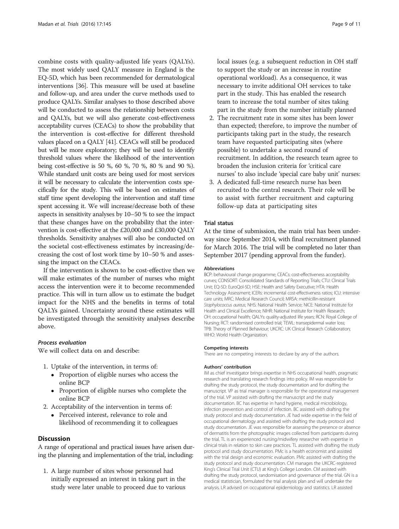combine costs with quality-adjusted life years (QALYs). The most widely used QALY measure in England is the EQ-5D, which has been recommended for dermatological interventions [\[36\]](#page-10-0). This measure will be used at baseline and follow-up, and area under the curve methods used to produce QALYs. Similar analyses to those described above will be conducted to assess the relationship between costs and QALYs, but we will also generate cost-effectiveness acceptability curves (CEACs) to show the probability that the intervention is cost-effective for different threshold values placed on a QALY [\[41](#page-10-0)]. CEACs will still be produced but will be more exploratory; they will be used to identify threshold values where the likelihood of the intervention being cost-effective is 50 %, 60 %, 70 %, 80 % and 90 %). While standard unit costs are being used for most services it will be necessary to calculate the intervention costs specifically for the study. This will be based on estimates of staff time spent developing the intervention and staff time spent accessing it. We will increase/decrease both of these aspects in sensitivity analyses by 10–50 % to see the impact that these changes have on the probability that the intervention is cost-effective at the £20,000 and £30,000 QALY thresholds. Sensitivity analyses will also be conducted on the societal cost-effectiveness estimates by increasing/decreasing the cost of lost work time by 10–50 % and assessing the impact on the CEACs.

If the intervention is shown to be cost-effective then we will make estimates of the number of nurses who might access the intervention were it to become recommended practice. This will in turn allow us to estimate the budget impact for the NHS and the benefits in terms of total QALYs gained. Uncertainty around these estimates will be investigated through the sensitivity analyses describe above.

#### Process evaluation

We will collect data on and describe:

- 1. Uptake of the intervention, in terms of:
	- Proportion of eligible nurses who access the online BCP
	- Proportion of eligible nurses who complete the online BCP
- 2. Acceptability of the intervention in terms of:
	- Perceived interest, relevance to role and likelihood of recommending it to colleagues

#### **Discussion**

A range of operational and practical issues have arisen during the planning and implementation of the trial, including:

1. A large number of sites whose personnel had initially expressed an interest in taking part in the study were later unable to proceed due to various

local issues (e.g. a subsequent reduction in OH staff to support the study or an increase in routine operational workload). As a consequence, it was necessary to invite additional OH services to take part in the study. This has enabled the research team to increase the total number of sites taking part in the study from the number initially planned

- 2. The recruitment rate in some sites has been lower than expected; therefore, to improve the number of participants taking part in the study, the research team have requested participating sites (where possible) to undertake a second round of recruitment. In addition, the research team agree to broaden the inclusion criteria for 'critical care nurses' to also include 'special care baby unit' nurses:
- 3. A dedicated full-time research nurse has been recruited to the central research. Their role will be to assist with further recruitment and capturing follow-up data at participating sites

#### Trial status

At the time of submission, the main trial has been underway since September 2014, with final recruitment planned for March 2016. The trial will be completed no later than September 2017 (pending approval from the funder).

#### **Abbreviations**

BCP: behavioural change programme; CEACs: cost-effectiveness acceptability curves; CONSORT: Consolidated Standards of Reporting Trials; CTU: Clinical Trials Unit; EQ-5D: EuroQol-5D; HSE: Health and Safety Executive; HTA: Health Technology Assessment; ICERs: incremental cost-effectiveness ratios; ICU: intensive care units; MRC: Medical Research Council; MRSA: methicillin-resistant Staphylococcus aureus; NHS: National Health Service; NICE: National Institute for Health and Clinical Excellence; NIHR: National Institute for Health Research; OH: occupational health; QALYs: quality-adjusted life years; RCN: Royal College of Nursing; RCT: randomised controlled trial; TEWL: transepidermal water loss; TPB: Theory of Planned Behaviour; UKCRC: UK Clinical Research Collaboration; WHO: World Health Organization.

#### Competing interests

There are no competing interests to declare by any of the authors.

#### Authors' contribution

IM as chief investigator brings expertise in NHS occupational health, pragmatic research and translating research findings into policy. IM was responsible for drafting the study protocol, the study documentation and for drafting the manuscript. VP as trial manager is responsible for the operational management of the trial. VP assisted with drafting the manuscript and the study documentation. BC has expertise in hand hygiene, medical microbiology, infection prevention and control of infection. BC assisted with drafting the study protocol and study documentation. JE had wide expertise in the field of occupational dermatology and assisted with drafting the study protocol and study documentation. JE was responsible for assessing the presence or absence of dermatitis from the photographic images collected from participants during the trial. TL is an experienced nursing/midwifery researcher with expertise in clinical trials in relation to skin care practices. TL assisted with drafting the study protocol and study documentation. PMc is a health economist and assisted with the trial design and economic evaluation. PMc assisted with drafting the study protocol and study documentation. CM manages the UKCRC-registered King's Clinical Trial Unit (CTU) at King's College London. CM assisted with drafting the study protocol, randomisation and governance of the trial. GN is a medical statistician, formulated the trial analysis plan and will undertake the analysis. LR advised on occupational epidemiology and statistics. LR assisted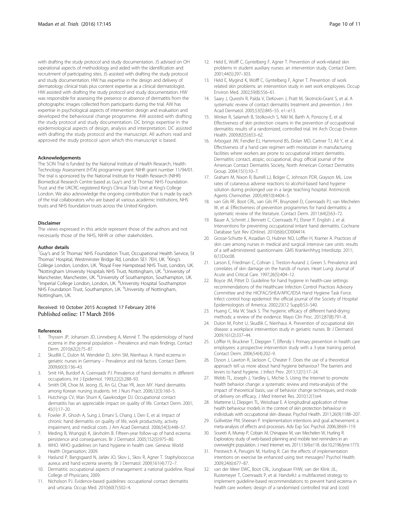<span id="page-9-0"></span>with drafting the study protocol and study documentation. JS advised on OH operational aspects of methodology and aided with the identification and recruitment of participating sites. JS assisted with drafting the study protocol and study documentation. HW has expertise in the design and delivery of dermatology clinical trials plus content expertise as a clinical dermatologist. HW assisted with drafting the study protocol and study documentation. HW was responsible for assessing the presence or absence of dermatitis from the photographic images collected from participants during the trial. AW has expertise in psychological aspects of intervention design and evaluation and developed the behavioural change programme. AW assisted with drafting the study protocol and study documentation. DC brings expertise in the epidemiological aspects of design, analysis and interpretation. DC assisted with drafting the study protocol and the manuscript. All authors read and approved the study protocol upon which this manuscript is based.

#### Acknowledgements

The SCIN Trial is funded by the National Institute of Health Research, Health Technology Assessment (HTA) programme grant: NIHR grant number 11/94/01. The trial is sponsored by the National Institute for Health Research (NIHR) Biomedical Research Centre based as Guy's and St Thomas' NHS Foundation Trust and the UKCRC-registered King's Clinical Trials Unit at King's College London. We also acknowledge the ongoing contribution that is made by each of the trial collaborators who are based at various academic institutions, NHS trusts and NHS foundation trusts across the United Kingdom.

#### Disclaimer

The views expressed in this article represent those of the authors and not necessarily those of the NHS, NIHR or other stakeholders.

#### Author details

<sup>1</sup>Guy's and St Thomas' NHS Foundation Trust, Occupational Health Service, St Thomas' Hospital, Westminster Bridge Rd, London SE1 7EH, UK. <sup>2</sup>King's College London, London, UK. <sup>3</sup>Royal Free Hampstead NHS Trust, London, UK.<br><sup>4</sup>Nottingbam University Hospitals NHS Trust, Nottingbam, UK. <sup>5</sup>University of Nottingham University Hospitals NHS Trust, Nottingham, UK. <sup>5</sup>University of Manchester, Manchester, UK. <sup>6</sup>University of Southampton, Southampton, UK.<br><sup>7</sup>Importal College London, London, UK. <sup>8</sup>University Hespital Southampton. Imperial College London, London, UK. <sup>8</sup>University Hospital Southampton NHS Foundation Trust, Southampton, UK. <sup>9</sup>University of Nottingham, Nottingham, UK.

# Received: 10 October 2015 Accepted: 17 February 2016<br>Published online: 17 March 2016

#### References

- Thyssen JP, Johansen JD, Linneberg A, Menné T. The epidemiology of hand eczema in the general population – Prevalence and main findings. Contact Derm. 2010;62(2):75–87.
- 2. Skudlik C, Dulon M, Wendeler D, John SM, Nienhaus A. Hand eczema in geriatric nurses in Germany – Prevalence and risk factors. Contact Derm. 2009;60(3):136–43.
- 3. Smit HA, Burdorf A, Coenraads PJ. Prevalence of hand dermatitis in different occupations. Int J Epidemiol. 1993;22(2):288–93.
- 4. Smith DR, Choe M, Jeong JS, An GJ, Chae YR, Jeon MY. Hand dermatitis among Korean nursing students. Int J Nurs Pract. 2006;12(3):160–5.
- 5. Hutchings CV, Wan Shum K, Gawkrodger DJ. Occupational contact dermatitis has an appreciable impact on quality of life. Contact Derm. 2001; 45(1):17–20.
- 6. Fowler JF, Ghosh A, Sung J, Emani S, Chang J, Den E, et al. Impact of chronic hand dermatitis on quality of life, work productivity, activity impairment, and medical costs. J Am Acad Dermatol. 2006;54(3):448–57.
- 7. Meding B, Wrangsjö K, Järvholm B. Fifteen-year follow-up of hand eczema: persistence and consequences. Br J Dermatol. 2005;152(5):975–80.
- 8. WHO. WHO guidelines on hand hygiene in health care. Geneva: World Health Organisation; 2009.
- 9. Haslund P, Bangsgaard N, Jarløv JO, Skov L, Skov R, Agner T. Staphylococcus aureus and hand eczema severity. Br J Dermatol. 2009;161(4):772–7.
- 10. Dermatitis: occupational aspects of management: a national guideline. Royal College of Physicians; 2009.
- 11. Nicholson PJ. Evidence-based guidelines: occupational contact dermatitis and urticaria. Occup Med. 2010;60(7):502–4.
- 12. Held E, Wolff C, Gyntelberg F, Agner T. Prevention of work-related skin problems in student auxiliary nurses: an intervention study. Contact Derm. 2001;44(5):297–303.
- 13. Held E, Mygind K, Wolff C, Gyntelberg F, Agner T. Prevention of work related skin problems: an intervention study in wet work employees. Occup Environ Med. 2002;59(8):556–61.
- 14. Saary J, Qureshi R, Palda V, DeKoven J, Pratt M, Skotnicki-Grant S, et al. A systematic review of contact dermatitis treatment and prevention. J Am Acad Dermatol. 2005;53(5):845–55. e1–e13.
- 15. Winker R, Salameh B, Stolkovich S, Nikl M, Barth A, Ponocny E, et al. Effectiveness of skin protection creams in the prevention of occupational dermatitis: results of a randomized, controlled trial. Int Arch Occup Environ Health. 2009;82(5):653–62.
- 16. Arbogast JW, Fendler EJ, Hammond BS, Dolan MD, Cartner TJ, Ali Y, et al. Effectiveness of a hand care regimen with moisturizer in manufacturing facilities where workers are prone to occupational irritant dermatitis. Dermatitis: contact, atopic, occupational, drug: official journal of the American Contact Dermatitis Society, North American Contact Dermatitis Group. 2004;15(1):10–7.
- 17. Graham M, Nixon R, Burrell LJ, Bolger C, Johnson PDR, Grayson ML. Low rates of cutaneous adverse reactions to alcohol-based hand hygiene solution during prolonged use in a large teaching hospital. Antimicrob Agents Chemother. 2005;49(10):4404–5.
- 18. van Gils RF, Boot CRL, van Gils PF, Bruynzeel D, Coenraads PJ, van Mechelen W, et al. Effectiveness of prevention programmes for hand dermatitis: a systematic review of the literature. Contact Derm. 2011;64(2):63–72.
- 19. Bauer A, Schmitt J, Bennett C, Coenraads PJ, Elsner P, English J, et al. Interventions for preventing occupational irritant hand dermatitis. Cochrane Database Syst Rev (Online). 2010;6(6):CD004414.
- 20. Grosse-Schutte K, Assadian O, Hubner NO, Loffler H, Kramer A. Practices of skin care among nurses in medical and surgical intensive care units: results of a self-administered questionnaire. GMS Krankenhhyg Interdiszip. 2011; 6(1):Doc08.
- 21. Larson E, Friedman C, Cohran J, Treston-Aurand J, Green S. Prevalence and correlates of skin damage on the hands of nurses. Heart Lung: Journal of Acute and Critical Care. 1997;26(5):404–12.
- 22. Boyce JM, Pittet D. Guideline for hand hygiene in health-care settings: recommendations of the Healthcare Infection Control Practices Advisory Committee and the HICPAC/SHEA/APIC/IDSA Hand Hygiene Task Force. Infect control hosp epidemiol: the official journal of the Society of Hospital Epidemiologists of America. 2002;23(12 Suppl):S3–S40.
- 23. Huang C, Ma W, Stack S. The hygienic efficacy of different hand-drying methods: a review of the evidence. Mayo Clin Proc. 2012;87(8):791–8.
- 24. Dulon M, Pohrt U, Skudlik C, Nienhaus A. Prevention of occupational skin disease: a workplace intervention study in geriatric nurses. Br J Dermatol. 2009;161(2):337–44.
- 25. Löffler H, Bruckner T, Diepgen T, Effendy I. Primary prevention in health care employees: a prospective intervention study with a 3-year training period. Contact Derm. 2006;54(4):202–9.
- 26. Dyson J, Lawton R, Jackson C, Cheater F. Does the use of a theoretical approach tell us more about hand hygiene behaviour? The barriers and levers to hand hygiene. J Infect Prev. 2011;12(1):17–24.
- 27. Webb TL, Joseph J, Yardley L, Michie S. Using the Internet to promote health behavior change: a systematic review and meta-analysis of the impact of theoretical basis, use of behavior change techniques, and mode of delivery on efficacy. J Med Internet Res. 2010;12(1):e4.
- 28. Matterne U, Diepgen TL, Weisshaar E. A longitudinal application of three health behaviour models in the context of skin protection behaviour in individuals with occupational skin disease. Psychol Health. 2011;26(9):1188–207.
- 29. Gollwitzer PM, Sheeran P. Implementation intentions and goal achievement: a meta-analysis of effects and processes. Adv Exp Soc Psychol. 2006;38:69–119.
- 30. Soureti A, Murray P, Cobain M, Chinapaw M, van Mechelen W, Hurling R. Exploratory study of web-based planning and mobile text reminders in an overweight population. J med Internet res. 2011;13(4):e118. doi[:10.2196/jmir.1773.](http://dx.doi.org/10.2196/jmir.1773)
- 31. Prestwich A, Perugini M, Hurling R. Can the effects of implementation intentions on exercise be enhanced using text messages? Psychol Health. 2009;24(6):677–87.
- 32. van der Meer EWC, Boot CRL, Jungbauer FHW, van der Klink JJL, Rustemeyer T, Coenraads P, et al. Hands4U: a multifaceted strategy to implement guideline-based recommendations to prevent hand eczema in health care workers: design of a randomised controlled trial and (cost)